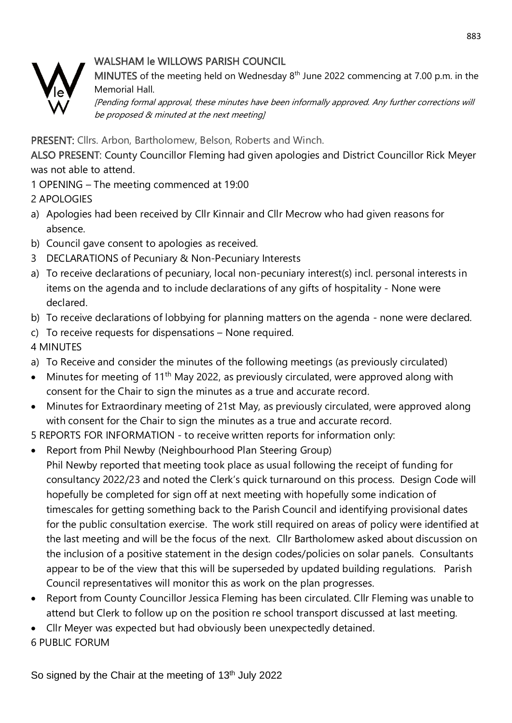## WALSHAM le WILLOWS PARISH COUNCIL



MINUTES of the meeting held on Wednesday  $8<sup>th</sup>$  June 2022 commencing at 7.00 p.m. in the Memorial Hall.

[Pending formal approval, these minutes have been informally approved. Any further corrections will be proposed & minuted at the next meeting]

PRESENT: Cllrs. Arbon, Bartholomew, Belson, Roberts and Winch.

ALSO PRESENT: County Councillor Fleming had given apologies and District Councillor Rick Meyer was not able to attend.

1 OPENING – The meeting commenced at 19:00

2 APOLOGIES

- a) Apologies had been received by Cllr Kinnair and Cllr Mecrow who had given reasons for absence.
- b) Council gave consent to apologies as received.
- 3 DECLARATIONS of Pecuniary & Non-Pecuniary Interests
- a) To receive declarations of pecuniary, local non-pecuniary interest(s) incl. personal interests in items on the agenda and to include declarations of any gifts of hospitality - None were declared.
- b) To receive declarations of lobbying for planning matters on the agenda none were declared.
- c) To receive requests for dispensations None required.

4 MINUTES

- a) To Receive and consider the minutes of the following meetings (as previously circulated)
- Minutes for meeting of 11<sup>th</sup> May 2022, as previously circulated, were approved along with consent for the Chair to sign the minutes as a true and accurate record.
- Minutes for Extraordinary meeting of 21st May, as previously circulated, were approved along with consent for the Chair to sign the minutes as a true and accurate record.

5 REPORTS FOR INFORMATION - to receive written reports for information only:

- Report from Phil Newby (Neighbourhood Plan Steering Group) Phil Newby reported that meeting took place as usual following the receipt of funding for consultancy 2022/23 and noted the Clerk's quick turnaround on this process. Design Code will hopefully be completed for sign off at next meeting with hopefully some indication of timescales for getting something back to the Parish Council and identifying provisional dates for the public consultation exercise. The work still required on areas of policy were identified at the last meeting and will be the focus of the next. Cllr Bartholomew asked about discussion on the inclusion of a positive statement in the design codes/policies on solar panels. Consultants appear to be of the view that this will be superseded by updated building regulations. Parish Council representatives will monitor this as work on the plan progresses.
- Report from County Councillor Jessica Fleming has been circulated. Cllr Fleming was unable to attend but Clerk to follow up on the position re school transport discussed at last meeting.
- Cllr Meyer was expected but had obviously been unexpectedly detained.

6 PUBLIC FORUM

So signed by the Chair at the meeting of 13<sup>th</sup> July 2022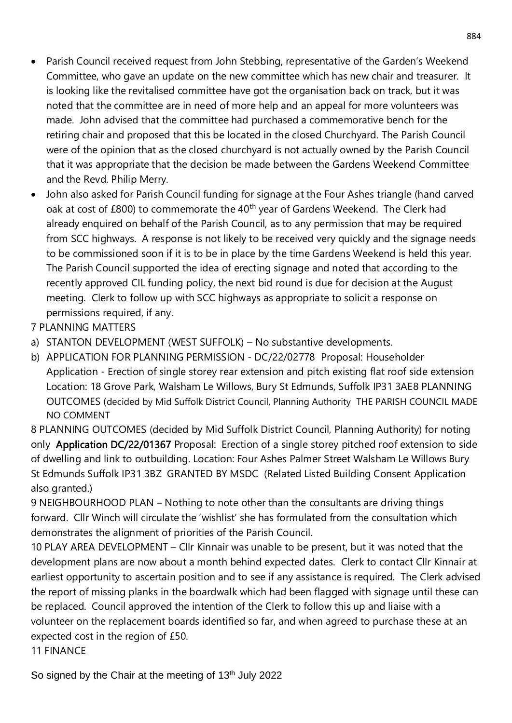- Parish Council received request from John Stebbing, representative of the Garden's Weekend Committee, who gave an update on the new committee which has new chair and treasurer. It is looking like the revitalised committee have got the organisation back on track, but it was noted that the committee are in need of more help and an appeal for more volunteers was made. John advised that the committee had purchased a commemorative bench for the retiring chair and proposed that this be located in the closed Churchyard. The Parish Council were of the opinion that as the closed churchyard is not actually owned by the Parish Council that it was appropriate that the decision be made between the Gardens Weekend Committee and the Revd. Philip Merry.
- John also asked for Parish Council funding for signage at the Four Ashes triangle (hand carved oak at cost of £800) to commemorate the 40<sup>th</sup> year of Gardens Weekend. The Clerk had already enquired on behalf of the Parish Council, as to any permission that may be required from SCC highways. A response is not likely to be received very quickly and the signage needs to be commissioned soon if it is to be in place by the time Gardens Weekend is held this year. The Parish Council supported the idea of erecting signage and noted that according to the recently approved CIL funding policy, the next bid round is due for decision at the August meeting. Clerk to follow up with SCC highways as appropriate to solicit a response on permissions required, if any.
- 7 PLANNING MATTERS
- a) STANTON DEVELOPMENT (WEST SUFFOLK) No substantive developments.
- b) APPLICATION FOR PLANNING PERMISSION DC/22/02778 Proposal: Householder Application - Erection of single storey rear extension and pitch existing flat roof side extension Location: 18 Grove Park, Walsham Le Willows, Bury St Edmunds, Suffolk IP31 3AE8 PLANNING OUTCOMES (decided by Mid Suffolk District Council, Planning Authority THE PARISH COUNCIL MADE NO COMMENT

8 PLANNING OUTCOMES (decided by Mid Suffolk District Council, Planning Authority) for noting only Application DC/22/01367 [Proposal: Erection of a single storey pitched roof extension to side](https://planning.baberghmidsuffolk.gov.uk/online-applications/applicationDetails.do?activeTab=summary&keyVal=R8QFIFSH0A200&prevPage=inTray)  [of dwelling and link to outbuilding. L](https://planning.baberghmidsuffolk.gov.uk/online-applications/applicationDetails.do?activeTab=summary&keyVal=R8QFIFSH0A200&prevPage=inTray)ocation: Four Ashes Palmer Street Walsham Le Willows Bury St Edmunds Suffolk IP31 3BZ GRANTED BY MSDC (Related Listed Building Consent Application also granted.)

9 NEIGHBOURHOOD PLAN – Nothing to note other than the consultants are driving things forward. Cllr Winch will circulate the 'wishlist' she has formulated from the consultation which demonstrates the alignment of priorities of the Parish Council.

10 PLAY AREA DEVELOPMENT – Cllr Kinnair was unable to be present, but it was noted that the development plans are now about a month behind expected dates. Clerk to contact Cllr Kinnair at earliest opportunity to ascertain position and to see if any assistance is required. The Clerk advised the report of missing planks in the boardwalk which had been flagged with signage until these can be replaced. Council approved the intention of the Clerk to follow this up and liaise with a volunteer on the replacement boards identified so far, and when agreed to purchase these at an expected cost in the region of £50.

11 FINANCE

So signed by the Chair at the meeting of 13<sup>th</sup> July 2022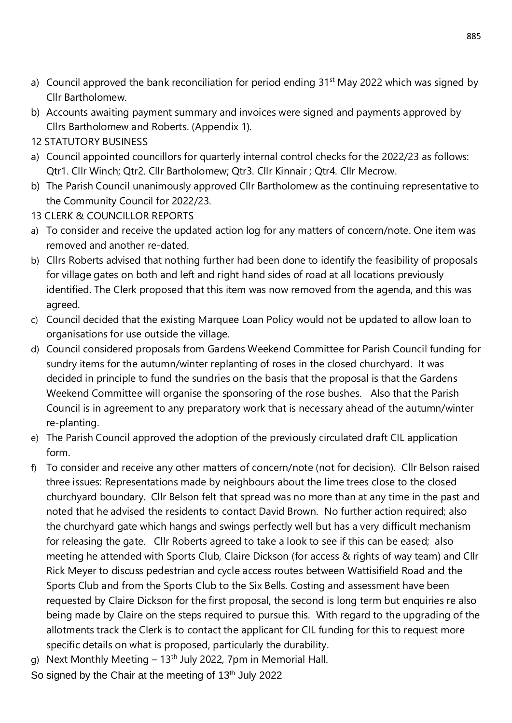- a) Council approved the bank reconciliation for period ending 31<sup>st</sup> May 2022 which was signed by Cllr Bartholomew.
- b) Accounts awaiting payment summary and invoices were signed and payments approved by Cllrs Bartholomew and Roberts. (Appendix 1).
- 12 STATUTORY BUSINESS
- a) Council appointed councillors for quarterly internal control checks for the 2022/23 as follows: Qtr1. Cllr Winch; Qtr2. Cllr Bartholomew; Qtr3. Cllr Kinnair ; Qtr4. Cllr Mecrow.
- b) The Parish Council unanimously approved Cllr Bartholomew as the continuing representative to the Community Council for 2022/23.
- 13 CLERK & COUNCILLOR REPORTS
- a) To consider and receive the updated action log for any matters of concern/note. One item was removed and another re-dated.
- b) Cllrs Roberts advised that nothing further had been done to identify the feasibility of proposals for village gates on both and left and right hand sides of road at all locations previously identified. The Clerk proposed that this item was now removed from the agenda, and this was agreed.
- c) Council decided that the existing Marquee Loan Policy would not be updated to allow loan to organisations for use outside the village.
- d) Council considered proposals from Gardens Weekend Committee for Parish Council funding for sundry items for the autumn/winter replanting of roses in the closed churchyard. It was decided in principle to fund the sundries on the basis that the proposal is that the Gardens Weekend Committee will organise the sponsoring of the rose bushes. Also that the Parish Council is in agreement to any preparatory work that is necessary ahead of the autumn/winter re-planting.
- e) The Parish Council approved the adoption of the previously circulated draft CIL application form.
- f) To consider and receive any other matters of concern/note (not for decision). Cllr Belson raised three issues: Representations made by neighbours about the lime trees close to the closed churchyard boundary. Cllr Belson felt that spread was no more than at any time in the past and noted that he advised the residents to contact David Brown. No further action required; also the churchyard gate which hangs and swings perfectly well but has a very difficult mechanism for releasing the gate. Cllr Roberts agreed to take a look to see if this can be eased; also meeting he attended with Sports Club, Claire Dickson (for access & rights of way team) and Cllr Rick Meyer to discuss pedestrian and cycle access routes between Wattisifield Road and the Sports Club and from the Sports Club to the Six Bells. Costing and assessment have been requested by Claire Dickson for the first proposal, the second is long term but enquiries re also being made by Claire on the steps required to pursue this. With regard to the upgrading of the allotments track the Clerk is to contact the applicant for CIL funding for this to request more specific details on what is proposed, particularly the durability.
- g) Next Monthly Meeting 13<sup>th</sup> July 2022, 7pm in Memorial Hall.
- So signed by the Chair at the meeting of 13<sup>th</sup> July 2022